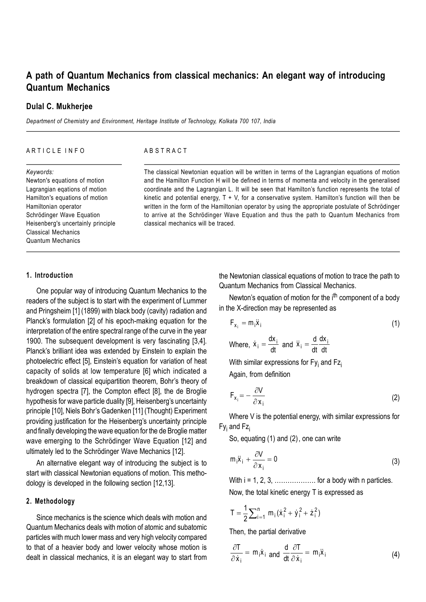# **A path of Quantum Mechanics from classical mechanics: An elegant way of introducing Quantum Mechanics**

## **Dulal C. Mukherjee**

*Department of Chemistry and Environment, Heritage Institute of Technology, Kolkata 700 107, India*

#### ARTICLE INFO

#### A B S T R A C T

*Keywords:* Newton's equations of motion Lagrangian eqations of motion Hamilton's equations of motion Hamiltonian operator Schrödinger Wave Equation Heisenberg's uncertainly principle Classical Mechanics Quantum Mechanics

The classical Newtonian equation will be written in terms of the Lagrangian equations of motion and the Hamilton Function H will be defined in terms of momenta and velocity in the generalised coordinate and the Lagrangian L. It will be seen that Hamilton's function represents the total of kinetic and potential energy,  $T + V$ , for a conservative system. Hamilton's function will then be written in the form of the Hamiltonian operator by using the appropriate postulate of Schrödinger to arrive at the Schrödinger Wave Equation and thus the path to Quantum Mechanics from classical mechanics will be traced.

## **1. Introduction**

One popular way of introducing Quantum Mechanics to the readers of the subject is to start with the experiment of Lummer and Pringsheim [1] (1899) with black body (cavity) radiation and Planck's formulation [2] of his epoch-making equation for the interpretation of the entire spectral range of the curve in the year 1900. The subsequent development is very fascinating [3,4]. Planck's brilliant idea was extended by Einstein to explain the photoelectric effect [5], Einstein's equation for variation of heat capacity of solids at low temperature [6] which indicated a breakdown of classical equipartition theorem, Bohr's theory of hydrogen spectra [7], the Compton effect [8], the de Broglie hypothesis for wave particle duality [9], Heisenberg's uncertainty principle [10], Niels Bohr's Gadenken [11] (Thought) Experiment providing justification for the Heisenberg's uncertainty principle and finally developing the wave equation for the de Broglie matter wave emerging to the Schrödinger Wave Equation [12] and ultimately led to the Schrödinger Wave Mechanics [12].

An alternative elegant way of introducing the subject is to start with classical Newtonian equations of motion. This methodology is developed in the following section [12,13].

# **2. Methodology**

Since mechanics is the science which deals with motion and Quantum Mechanics deals with motion of atomic and subatomic particles with much lower mass and very high velocity compared to that of a heavier body and lower velocity whose motion is dealt in classical mechanics, it is an elegant way to start from the Newtonian classical equations of motion to trace the path to Quantum Mechanics from Classical Mechanics.

Newton's equation of motion for the i<sup>th</sup> component of a body in the X-direction may be represented as

$$
F_{x_i} = m_i \ddot{x}_i \tag{1}
$$

Where, 
$$
\dot{x}_i = \frac{dx_i}{dt}
$$
 and  $\ddot{x}_i = \frac{d}{dt} \frac{dx_i}{dt}$ 

With similar expressions for Fy<sub>i</sub> and Fz<sub>i</sub> Again, from definition

$$
F_{x_i} = -\frac{\partial V}{\partial x_i} \tag{2}
$$

Where V is the potential energy, with similar expressions for Fy<sub>i</sub> and Fz<sub>i</sub>

So, equating (1) and (2), one can write

$$
m_i \ddot{x}_i + \frac{\partial V}{\partial x_i} = 0
$$
 (3)

With  $i = 1, 2, 3, \ldots, \ldots,$  for a body with n particles.

Now, the total kinetic energy T is expressed as

$$
T = \frac{1}{2} \sum_{i=1}^{n} m_i (\dot{x}_i^2 + \dot{y}_i^2 + \dot{z}_i^2)
$$

Then, the partial derivative

$$
\frac{\partial T}{\partial \dot{x}_i} = m_i \dot{x}_i \text{ and } \frac{d}{dt} \frac{\partial T}{\partial \dot{x}_i} = m_i \ddot{x}_i \tag{4}
$$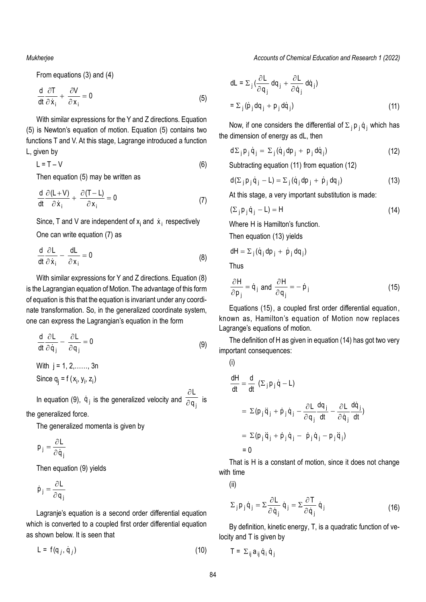*Mukherjee*

From equations (3) and (4)

$$
\frac{d}{dt}\frac{\partial T}{\partial \dot{x}_i} + \frac{\partial V}{\partial x_i} = 0
$$
\n(5)

With similar expressions for the Y and Z directions. Equation (5) is Newton's equation of motion. Equation (5) contains two functions T and V. At this stage, Lagrange introduced a function L, given by

$$
L = T - V \tag{6}
$$

Then equation (5) may be written as

$$
\frac{d}{dt}\frac{\partial (L+V)}{\partial \dot{x}_i} + \frac{\partial (T-L)}{\partial x_i} = 0
$$
 (7)

Since, T and V are independent of  $x_i$  and  $\dot{x}_i$  respectively

One can write equation (7) as

$$
\frac{d}{dt}\frac{\partial L}{\partial \dot{x}_i} - \frac{dL}{\partial x_i} = 0
$$
 (8)

With similar expressions for Y and Z directions. Equation (8) is the Lagrangian equation of Motion. The advantage of this form of equation is this that the equation is invariant under any coordinate transformation. So, in the generalized coordinate system, one can express the Lagrangian's equation in the form

$$
\frac{d}{dt}\frac{\partial L}{\partial \dot{q}_j} - \frac{\partial L}{\partial q_j} = 0
$$
\n(9)

With  $i = 1, 2, \ldots, 3n$ Since  $q_j = f(x_j, y_j, z_j)$ 

In equation (9),  $\dot{q}_j$  is the generalized velocity and  $\frac{\partial L}{\partial q}$ q  $\partial$  $\overline{\overline{\partial\mathsf{q}_{\,\mathrm{i}}\,}}\,$  is

the generalized force.

The generalized momenta is given by

$$
\mathsf{p}_{\mathsf{j}} = \frac{\partial \mathsf{L}}{\partial \dot{\mathsf{q}}_{\mathsf{i}}}
$$

Then equation (9) yields

$$
\dot{p}_j = \frac{\partial L}{\partial q_j}
$$

Lagranje's equation is a second order differential equation which is converted to a coupled first order differential equation as shown below. It is seen that

 $L = f(q_i, \dot{q}_i)$  (10)

*Accounts of Chemical Education and Research 1 (2022)*

$$
dL = \sum_{j} \left( \frac{\partial L}{\partial q_{j}} dq_{j} + \frac{\partial L}{\partial \dot{q}_{j}} dq_{j} \right)
$$
  
= 
$$
\sum_{j} (\dot{p}_{j} dq_{j} + p_{j} d\dot{q}_{j})
$$
 (11)

Now, if one considers the differential of  $\Sigma_{\,\mathsf{j}}\, \mathsf{p}_{\,\mathsf{j}}\, \dot{\mathsf{q}}_{\,\mathsf{j}}$  which has the dimension of energy as dL, then

$$
d\Sigma_j p_j \dot{q}_j = \Sigma_j (\dot{q}_j dp_j + p_j d\dot{q}_j)
$$
 (12)

Subtracting equation (11) from equation (12)

$$
d(\Sigma_j p_j \dot{q}_j - L) = \Sigma_j (\dot{q}_j dp_j + \dot{p}_j dq_j)
$$
 (13)

At this stage, a very important substitution is made:

$$
(\Sigma_j \mathsf{p}_j \dot{\mathsf{q}}_j - \mathsf{L}) = \mathsf{H} \tag{14}
$$

Where H is Hamilton's function.

Then equation (13) yields

 $dH = \sum_j (\dot{q}_j dp_j + \dot{p}_j dq_j)$ 

Thus

$$
\frac{\partial H}{\partial p_j} = \dot{q}_j \text{ and } \frac{\partial H}{\partial q_j} = -\dot{p}_j \tag{15}
$$

Equations (15), a coupled first order differential equation, known as, Hamilton's equation of Motion now replaces Lagrange's equations of motion.

The definition of H as given in equation (14) has got two very important consequences:

(i)  
\n
$$
\frac{dH}{dt} = \frac{d}{dt} (\Sigma_j p_j \dot{q} - L)
$$
\n
$$
= \Sigma (p_j \ddot{q}_j + \dot{p}_j \dot{q}_j - \frac{\partial L}{\partial q_j} \frac{dq_j}{dt} - \frac{\partial L}{\partial \dot{q}_j} \frac{d\dot{q}_j}{dt})
$$
\n
$$
= \Sigma (p_j \ddot{q}_j + \dot{p}_j \dot{q}_j - \dot{p}_j \dot{q}_j - p_j \ddot{q}_j)
$$
\n
$$
= 0
$$

That is H is a constant of motion, since it does not change with time

(ii)

$$
\Sigma_j \mathsf{p}_j \dot{\mathsf{q}}_j = \Sigma \frac{\partial \mathsf{L}}{\partial \dot{\mathsf{q}}_j} \dot{\mathsf{q}}_j = \Sigma \frac{\partial \mathsf{T}}{\partial \dot{\mathsf{q}}_j} \dot{\mathsf{q}}_j \tag{16}
$$

By definition, kinetic energy, T, is a quadratic function of velocity and T is given by

$$
T = \Sigma_{ij} a_{ij} \dot{q}_i \dot{q}_j
$$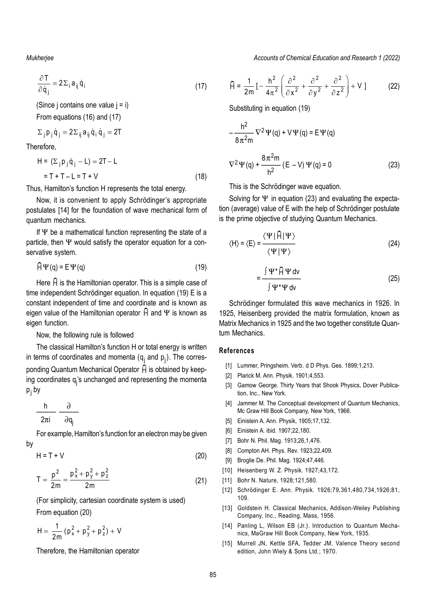*Mukherjee Accounts of Chemical Education and Research 1 (2022)*

$$
\frac{\partial T}{\partial \dot{q}_j} = 2\Sigma_i a_{ij} \dot{q}_i
$$
 (17)

(Since j contains one value  $j = i$ )

From equations (16) and (17)

$$
\Sigma_{j}\,p_{j}\,\dot{q}_{j}=2\Sigma_{ij}\,a_{ij}\,\dot{q}_{i}\,\dot{q}_{j}=2T
$$

Therefore,

$$
H = (\Sigma_j p_j \dot{q}_j - L) = 2T - L
$$
  
= T + T - L = T + V (18)

Thus, Hamilton's function H represents the total energy.

Now, it is convenient to apply Schrödinger's appropriate postulates [14] for the foundation of wave mechanical form of quantum mechanics.

If  $\Psi$  be a mathematical function representing the state of a particle, then  $\Psi$  would satisfy the operator equation for a conservative system.

$$
\widehat{H}\Psi(q) = E\Psi(q) \tag{19}
$$

Here  $\hat{H}$  is the Hamiltonian operator. This is a simple case of time independent Schrödinger equation. In equation (19) E is a constant independent of time and coordinate and is known as eigen value of the Hamiltonian operator  $\widehat{H}$  and  $\Psi$  is known as eigen function.

## Now, the following rule is followed

The classical Hamilton's function H or total energy is written in terms of coordinates and momenta ( $\mathsf{q}_\mathsf{j}$  and  $\mathsf{p}_\mathsf{j}$ ). The corresponding Quantum Mechanical Operator  $\hat{H}$  is obtained by keeping coordinates q<sub>j</sub>'s unchanged and representing the momenta p<sub>j</sub> by

$$
\frac{h}{2\pi i} \frac{\partial}{\partial q_j}
$$

For example, Hamilton's function for an electron may be given by

$$
H = T + V \tag{20}
$$

$$
T = \frac{p^2}{2m} = \frac{p_x^2 + p_y^2 + p_z^2}{2m}
$$
 (21)

(For simplicity, cartesian coordinate system is used) From equation (20)

$$
H = \frac{1}{2m} (p_x^2 + p_y^2 + p_z^2) + V
$$

Therefore, the Hamiltonian operator

$$
\widehat{H} = \frac{1}{2m} \left[ -\frac{h^2}{4\pi^2} \left( \frac{\partial^2}{\partial x^2} + \frac{\partial^2}{\partial y^2} + \frac{\partial^2}{\partial z^2} \right) + V \right]
$$
 (22)

Substituting in equation (19)

$$
-\frac{h^2}{8\pi^2 m} \nabla^2 \Psi(q) + V\Psi(q) = E \Psi(q)
$$
  

$$
\nabla^2 \Psi(q) + \frac{8\pi^2 m}{h^2} (E - V) \Psi(q) = 0
$$
 (23)

This is the Schrödinger wave equation.

Solving for  $\Psi$  in equation (23) and evaluating the expectation (average) value of E with the help of Schrödinger postulate is the prime objective of studying Quantum Mechanics.

$$
\langle H \rangle = \langle E \rangle = \frac{\langle \Psi | \hat{H} | \Psi \rangle}{\langle \Psi | \Psi \rangle}
$$
 (24)

$$
=\frac{\int \Psi^* \widehat{H} \Psi \, dv}{\int \Psi^* \Psi \, dv}
$$
 (25)

Schrödinger formulated this wave mechanics in 1926. In 1925, Heisenberg provided the matrix formulation, known as Matrix Mechanics in 1925 and the two together constitute Quantum Mechanics.

## **References**

- [1] Lummer, Pringsheim. Verb. d D Phys. Ges. 1899;1,213.
- [2] Plarick M. Ann. Physik. 1901;4,553.
- [3] Gamow George. Thirty Years that Shook Physics, Dover Publication, Inc., New York.
- [4] Jammer M. The Conceptual development of Quantum Mechanics, Mc Graw Hill Book Company, New York, 1966.
- [5] Einistein A. Ann. Physik, 1905;17,132.
- [6] Einistein A. ibid. 1907;22,180.
- [7] Bohr N. Phil. Mag. 1913;26,1,476.
- [8] Compton AH. Phys. Rev. 1923;22,409.
- [9] Broglie De. Phil. Mag. 1924;47,446.
- [10] Heisenberg W. Z. Physik. 1927;43,172.
- [11] Bohr N. Nature, 1928;121,580.
- [12] Schrödinger E. Ann. Physik. 1926;79,361,480,734,1926;81, 109.
- [13] Goldstein H. Classical Mechanics, Addison-Weiley Publishing Company, Inc., Reading, Mass, 1956.
- [14] Panling L, Wilson EB (Jr.). Introduction to Quantum Mechanics, MaGraw Hill Book Company, New York, 1935.
- [15] Murrell JN, Kettle SFA, Tedder JM. Valence Theory second edition, John Wiely & Sons Ltd.; 1970.